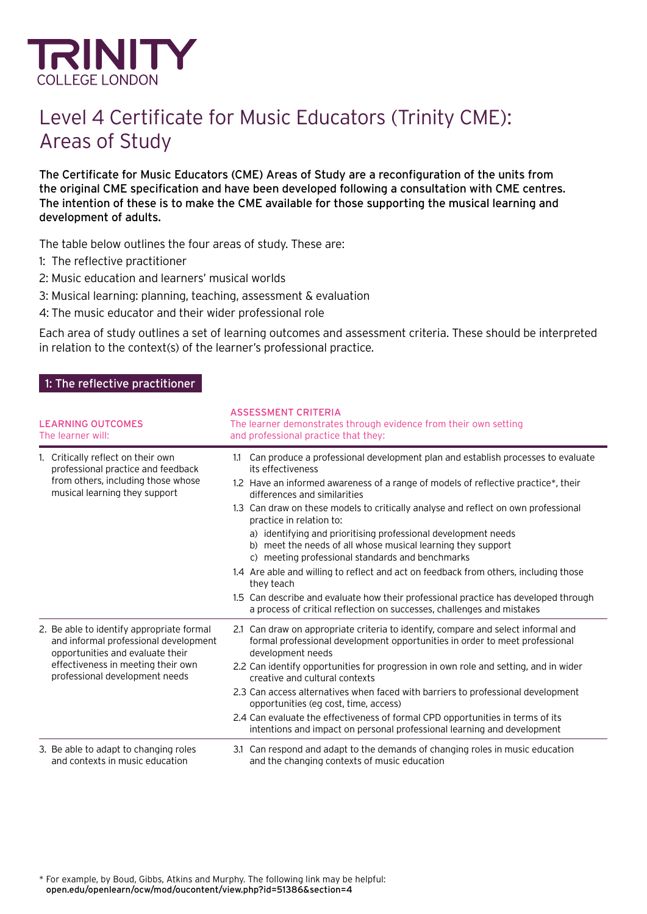

# Level 4 Certificate for Music Educators (Trinity CME): Areas of Study

The Certificate for Music Educators (CME) Areas of Study are a reconfiguration of the units from the original CME specification and have been developed following a consultation with CME centres. The intention of these is to make the CME available for those supporting the musical learning and development of adults.

The table below outlines the four areas of study. These are:

- 1: The reflective practitioner
- 2: Music education and learners' musical worlds
- 3: Musical learning: planning, teaching, assessment & evaluation
- 4: The music educator and their wider professional role

Each area of study outlines a set of learning outcomes and assessment criteria. These should be interpreted in relation to the context(s) of the learner's professional practice.

#### 1: The reflective practitioner

| <b>LEARNING OUTCOMES</b><br>The learner will: |                                                                                                                                                                                                | <b>ASSESSMENT CRITERIA</b><br>The learner demonstrates through evidence from their own setting<br>and professional practice that they:                                                                                                                                                                                                                                                                                                                                                                                                                                                                                                                                                                                                                                                                                         |  |
|-----------------------------------------------|------------------------------------------------------------------------------------------------------------------------------------------------------------------------------------------------|--------------------------------------------------------------------------------------------------------------------------------------------------------------------------------------------------------------------------------------------------------------------------------------------------------------------------------------------------------------------------------------------------------------------------------------------------------------------------------------------------------------------------------------------------------------------------------------------------------------------------------------------------------------------------------------------------------------------------------------------------------------------------------------------------------------------------------|--|
|                                               | 1. Critically reflect on their own<br>professional practice and feedback<br>from others, including those whose<br>musical learning they support                                                | Can produce a professional development plan and establish processes to evaluate<br>1.1<br>its effectiveness<br>1.2 Have an informed awareness of a range of models of reflective practice*, their<br>differences and similarities<br>1.3 Can draw on these models to critically analyse and reflect on own professional<br>practice in relation to:<br>a) identifying and prioritising professional development needs<br>b) meet the needs of all whose musical learning they support<br>meeting professional standards and benchmarks<br>$\mathcal{C}$<br>1.4 Are able and willing to reflect and act on feedback from others, including those<br>they teach<br>1.5 Can describe and evaluate how their professional practice has developed through<br>a process of critical reflection on successes, challenges and mistakes |  |
|                                               | 2. Be able to identify appropriate formal<br>and informal professional development<br>opportunities and evaluate their<br>effectiveness in meeting their own<br>professional development needs | 2.1 Can draw on appropriate criteria to identify, compare and select informal and<br>formal professional development opportunities in order to meet professional<br>development needs<br>2.2 Can identify opportunities for progression in own role and setting, and in wider<br>creative and cultural contexts<br>2.3 Can access alternatives when faced with barriers to professional development<br>opportunities (eg cost, time, access)<br>2.4 Can evaluate the effectiveness of formal CPD opportunities in terms of its<br>intentions and impact on personal professional learning and development                                                                                                                                                                                                                      |  |
|                                               | 3. Be able to adapt to changing roles<br>and contexts in music education                                                                                                                       | 3.1 Can respond and adapt to the demands of changing roles in music education<br>and the changing contexts of music education                                                                                                                                                                                                                                                                                                                                                                                                                                                                                                                                                                                                                                                                                                  |  |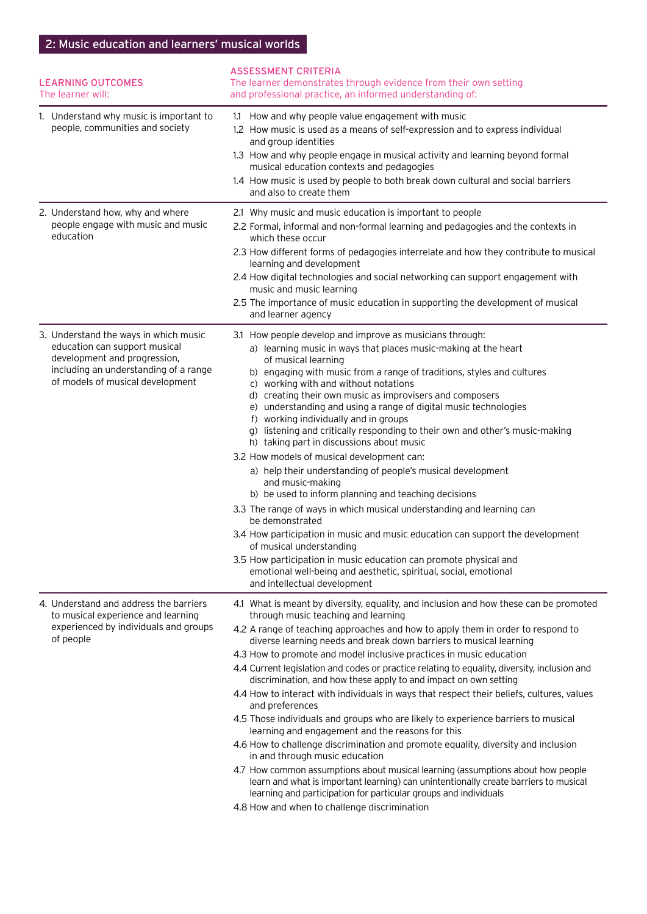### 2: Music education and learners' musical worlds

| <b>LEARNING OUTCOMES</b><br>The learner will:                                                                                                                                       | <b>ASSESSMENT CRITERIA</b><br>The learner demonstrates through evidence from their own setting<br>and professional practice, an informed understanding of:                                                                                                                                                                                                                                                                                                                                                                                                                                                                                                                                                                                                                                                                                                                                                                                                                                                                                                                                                                                                                                                      |  |
|-------------------------------------------------------------------------------------------------------------------------------------------------------------------------------------|-----------------------------------------------------------------------------------------------------------------------------------------------------------------------------------------------------------------------------------------------------------------------------------------------------------------------------------------------------------------------------------------------------------------------------------------------------------------------------------------------------------------------------------------------------------------------------------------------------------------------------------------------------------------------------------------------------------------------------------------------------------------------------------------------------------------------------------------------------------------------------------------------------------------------------------------------------------------------------------------------------------------------------------------------------------------------------------------------------------------------------------------------------------------------------------------------------------------|--|
| 1. Understand why music is important to<br>people, communities and society                                                                                                          | 1.1 How and why people value engagement with music<br>1.2 How music is used as a means of self-expression and to express individual<br>and group identities<br>1.3 How and why people engage in musical activity and learning beyond formal<br>musical education contexts and pedagogies<br>1.4 How music is used by people to both break down cultural and social barriers<br>and also to create them                                                                                                                                                                                                                                                                                                                                                                                                                                                                                                                                                                                                                                                                                                                                                                                                          |  |
| 2. Understand how, why and where<br>people engage with music and music<br>education                                                                                                 | 2.1 Why music and music education is important to people<br>2.2 Formal, informal and non-formal learning and pedagogies and the contexts in<br>which these occur<br>2.3 How different forms of pedagogies interrelate and how they contribute to musical<br>learning and development<br>2.4 How digital technologies and social networking can support engagement with<br>music and music learning<br>2.5 The importance of music education in supporting the development of musical<br>and learner agency                                                                                                                                                                                                                                                                                                                                                                                                                                                                                                                                                                                                                                                                                                      |  |
| 3. Understand the ways in which music<br>education can support musical<br>development and progression,<br>including an understanding of a range<br>of models of musical development | 3.1 How people develop and improve as musicians through:<br>a) learning music in ways that places music-making at the heart<br>of musical learning<br>b) engaging with music from a range of traditions, styles and cultures<br>c) working with and without notations<br>d) creating their own music as improvisers and composers<br>e) understanding and using a range of digital music technologies<br>f) working individually and in groups<br>g) listening and critically responding to their own and other's music-making<br>h) taking part in discussions about music<br>3.2 How models of musical development can:<br>a) help their understanding of people's musical development<br>and music-making<br>b) be used to inform planning and teaching decisions<br>3.3 The range of ways in which musical understanding and learning can<br>be demonstrated<br>3.4 How participation in music and music education can support the development<br>of musical understanding<br>3.5 How participation in music education can promote physical and<br>emotional well-being and aesthetic, spiritual, social, emotional<br>and intellectual development                                                         |  |
| 4. Understand and address the barriers<br>to musical experience and learning<br>experienced by individuals and groups<br>of people                                                  | 4.1 What is meant by diversity, equality, and inclusion and how these can be promoted<br>through music teaching and learning<br>4.2 A range of teaching approaches and how to apply them in order to respond to<br>diverse learning needs and break down barriers to musical learning<br>4.3 How to promote and model inclusive practices in music education<br>4.4 Current legislation and codes or practice relating to equality, diversity, inclusion and<br>discrimination, and how these apply to and impact on own setting<br>4.4 How to interact with individuals in ways that respect their beliefs, cultures, values<br>and preferences<br>4.5 Those individuals and groups who are likely to experience barriers to musical<br>learning and engagement and the reasons for this<br>4.6 How to challenge discrimination and promote equality, diversity and inclusion<br>in and through music education<br>4.7 How common assumptions about musical learning (assumptions about how people<br>learn and what is important learning) can unintentionally create barriers to musical<br>learning and participation for particular groups and individuals<br>4.8 How and when to challenge discrimination |  |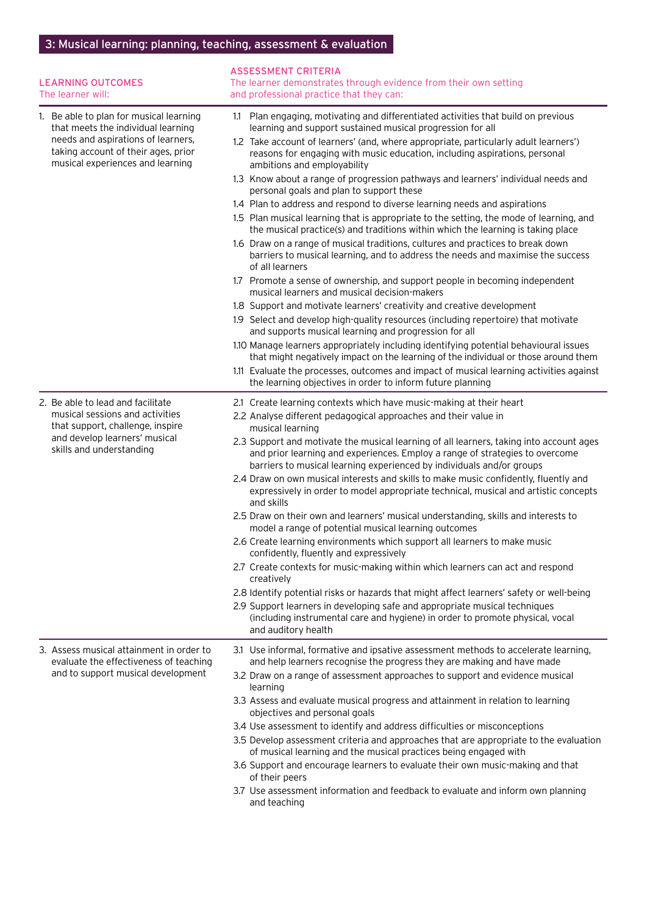## 3: Musical learning: planning, teaching, assessment & evaluation

| <b>LEARNING OUTCOMES</b><br>The learner will:                                                                                                                                                  | <b>ASSESSMENT CRITERIA</b><br>The learner demonstrates through evidence from their own setting<br>and professional practice that they can:                                                                                                       |
|------------------------------------------------------------------------------------------------------------------------------------------------------------------------------------------------|--------------------------------------------------------------------------------------------------------------------------------------------------------------------------------------------------------------------------------------------------|
| 1. Be able to plan for musical learning<br>that meets the individual learning<br>needs and aspirations of learners,<br>taking account of their ages, prior<br>musical experiences and learning | 1.1 Plan engaging, motivating and differentiated activities that build on previous<br>learning and support sustained musical progression for all                                                                                                 |
|                                                                                                                                                                                                | 1.2 Take account of learners' (and, where appropriate, particularly adult learners')<br>reasons for engaging with music education, including aspirations, personal<br>ambitions and employability                                                |
|                                                                                                                                                                                                | 1.3 Know about a range of progression pathways and learners' individual needs and<br>personal goals and plan to support these                                                                                                                    |
|                                                                                                                                                                                                | 1.4 Plan to address and respond to diverse learning needs and aspirations                                                                                                                                                                        |
|                                                                                                                                                                                                | 1.5 Plan musical learning that is appropriate to the setting, the mode of learning, and<br>the musical practice(s) and traditions within which the learning is taking place                                                                      |
|                                                                                                                                                                                                | 1.6 Draw on a range of musical traditions, cultures and practices to break down<br>barriers to musical learning, and to address the needs and maximise the success<br>of all learners                                                            |
|                                                                                                                                                                                                | 1.7 Promote a sense of ownership, and support people in becoming independent<br>musical learners and musical decision-makers                                                                                                                     |
|                                                                                                                                                                                                | 1.8 Support and motivate learners' creativity and creative development                                                                                                                                                                           |
|                                                                                                                                                                                                | 1.9 Select and develop high-quality resources (including repertoire) that motivate<br>and supports musical learning and progression for all                                                                                                      |
|                                                                                                                                                                                                | 1.10 Manage learners appropriately including identifying potential behavioural issues<br>that might negatively impact on the learning of the individual or those around them                                                                     |
|                                                                                                                                                                                                | 1.11 Evaluate the processes, outcomes and impact of musical learning activities against<br>the learning objectives in order to inform future planning                                                                                            |
| 2. Be able to lead and facilitate<br>musical sessions and activities<br>that support, challenge, inspire<br>and develop learners' musical<br>skills and understanding                          | 2.1 Create learning contexts which have music-making at their heart                                                                                                                                                                              |
|                                                                                                                                                                                                | 2.2 Analyse different pedagogical approaches and their value in<br>musical learning                                                                                                                                                              |
|                                                                                                                                                                                                | 2.3 Support and motivate the musical learning of all learners, taking into account ages<br>and prior learning and experiences. Employ a range of strategies to overcome<br>barriers to musical learning experienced by individuals and/or groups |
|                                                                                                                                                                                                | 2.4 Draw on own musical interests and skills to make music confidently, fluently and<br>expressively in order to model appropriate technical, musical and artistic concepts<br>and skills                                                        |
|                                                                                                                                                                                                | 2.5 Draw on their own and learners' musical understanding, skills and interests to<br>model a range of potential musical learning outcomes                                                                                                       |
|                                                                                                                                                                                                | 2.6 Create learning environments which support all learners to make music<br>confidently, fluently and expressively                                                                                                                              |
|                                                                                                                                                                                                | 2.7 Create contexts for music-making within which learners can act and respond<br>creatively                                                                                                                                                     |
|                                                                                                                                                                                                | 2.8 Identify potential risks or hazards that might affect learners' safety or well-being                                                                                                                                                         |
|                                                                                                                                                                                                | 2.9 Support learners in developing safe and appropriate musical techniques<br>(including instrumental care and hygiene) in order to promote physical, vocal<br>and auditory health                                                               |
| 3. Assess musical attainment in order to<br>evaluate the effectiveness of teaching<br>and to support musical development                                                                       | 3.1 Use informal, formative and ipsative assessment methods to accelerate learning,<br>and help learners recognise the progress they are making and have made                                                                                    |
|                                                                                                                                                                                                | 3.2 Draw on a range of assessment approaches to support and evidence musical<br>learning                                                                                                                                                         |
|                                                                                                                                                                                                | 3.3 Assess and evaluate musical progress and attainment in relation to learning<br>objectives and personal goals                                                                                                                                 |
|                                                                                                                                                                                                | 3.4 Use assessment to identify and address difficulties or misconceptions                                                                                                                                                                        |
|                                                                                                                                                                                                | 3.5 Develop assessment criteria and approaches that are appropriate to the evaluation<br>of musical learning and the musical practices being engaged with                                                                                        |
|                                                                                                                                                                                                | 3.6 Support and encourage learners to evaluate their own music-making and that<br>of their peers                                                                                                                                                 |
|                                                                                                                                                                                                | 3.7 Use assessment information and feedback to evaluate and inform own planning<br>and teaching                                                                                                                                                  |